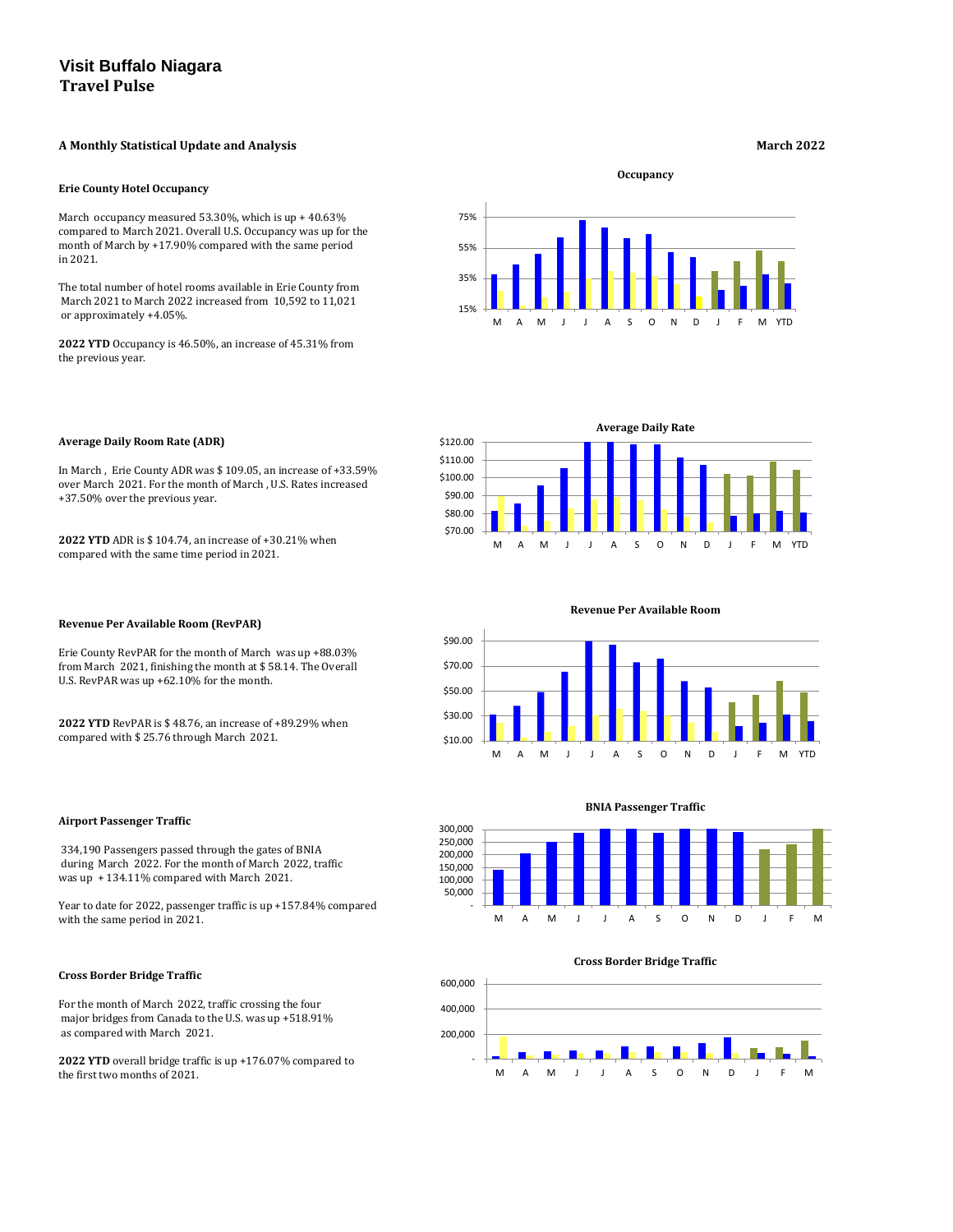# **A Monthly Statistical Update and Analysis March 2022**

#### **Erie County Hotel Occupancy**

March occupancy measured 53.30%, which is up + 40.63% compared to March 2021. Overall U.S. Occupancy was up for the month of March by +17.90% compared with the same period in 2021.

The total number of hotel rooms available in Erie County from March 2021 to March 2022 increased from 10,592 to 11,021 or approximately +4.05%.

**2022 YTD** Occupancy is 46.50%, an increase of 45.31% from the previous year.

### **Average Daily Room Rate (ADR)**

In March , Erie County ADR was \$ 109.05, an increase of +33.59% over March 2021. For the month of March , U.S. Rates increased +37.50% over the previous year.

**2022 YTD** ADR is \$ 104.74, an increase of +30.21% when compared with the same time period in 2021.

#### **Revenue Per Available Room (RevPAR)**

Erie County RevPAR for the month of March was up +88.03% from March 2021, finishing the month at \$ 58.14. The Overall U.S. RevPAR was up +62.10% for the month.

**2022 YTD** RevPAR is \$ 48.76, an increase of +89.29% when compared with \$ 25.76 through March 2021.

## **Airport Passenger Traffic**

 334,190 Passengers passed through the gates of BNIA during March 2022. For the month of March 2022, traffic was up + 134.11% compared with March 2021.

Year to date for 2022, passenger traffic is up +157.84% compared with the same period in 2021.

#### **Cross Border Bridge Traffic**

For the month of March 2022, traffic crossing the four major bridges from Canada to the U.S. was up +518.91% as compared with March 2021.

**2022 YTD** overall bridge traffic is up +176.07% compared to the first two months of 2021.

**Occupancy**

#### **BNIA Passenger Traffic**

#### **Cross Border Bridge Traffic**









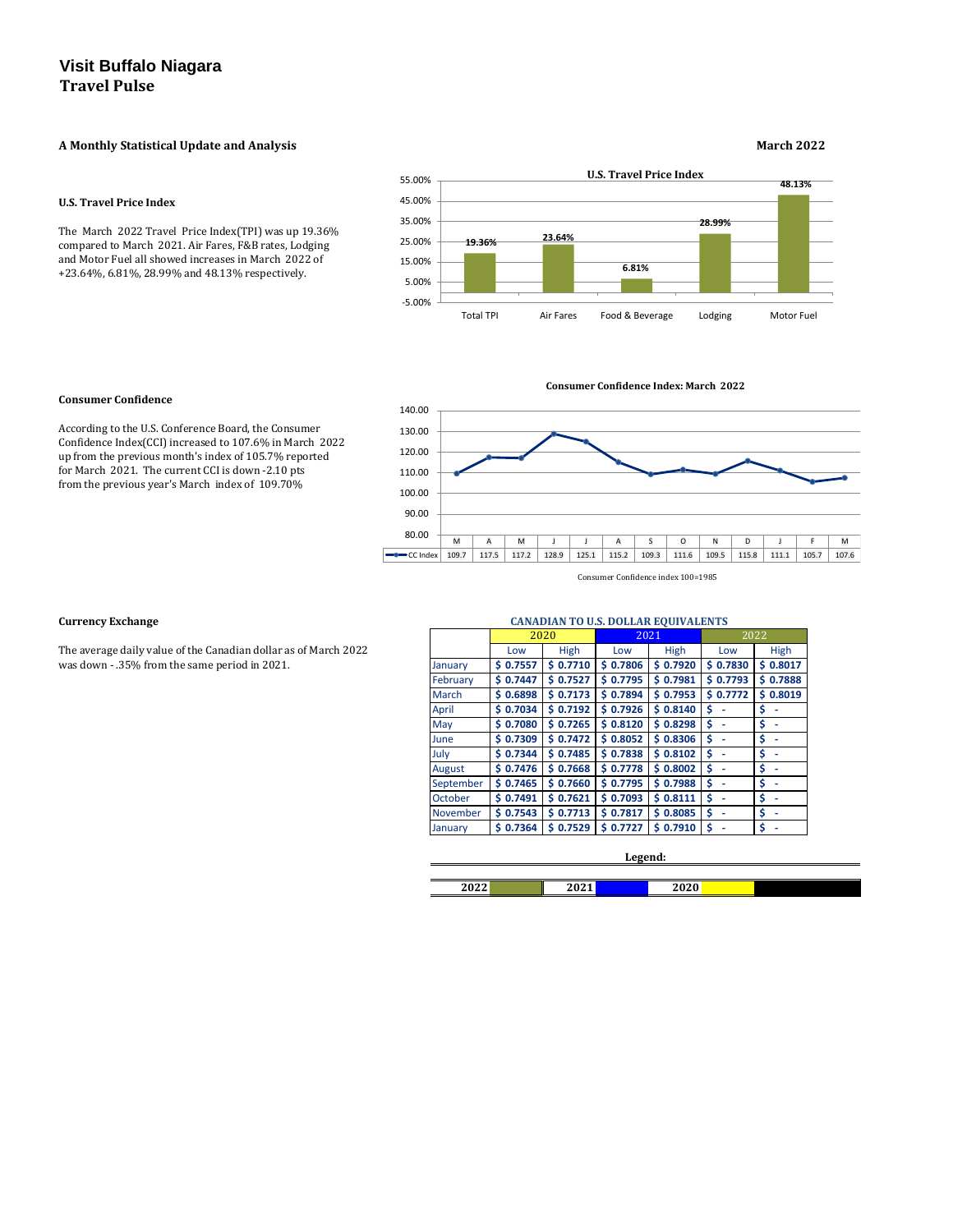## **A Monthly Statistical Update and Analysis March 2022**

#### **U.S. Travel Price Index**

The March 2022 Travel Price Index(TPI) was up 19.36% compared to March 2021. Air Fares, F&B rates, Lodging and Motor Fuel all showed increases in March 2022 of +23.64%, 6.81%, 28.99% and 48.13% respectively.

### **Consumer Confidence**

According to the U.S. Conference Board, the Consumer Confidence Index(CCI) increased to 107.6% in March 2022 up from the previous month's index of 105.7% reported for March 2021. The current CCI is down -2.10 pts from the previous year's March index of 109.70%

### **Currency Exchange**

The average daily value of the Canadian dollar as of March 2022 was down - .35% from the same period in 2021.

|           |              | 2020         | 2021         |              | 2022        |             |
|-----------|--------------|--------------|--------------|--------------|-------------|-------------|
|           | Low          | <b>High</b>  | Low          | High         | Low         | <b>High</b> |
| January   | 0.7557<br>s  | \$0.7710     | \$0.7806     | \$0.7920     | \$0.7830    | \$0.8017    |
| February  | 0.7447<br>Ś. | \$0.7527     | \$0.7795     | \$0.7981     | \$0.7793    | \$0.7888    |
| March     | 0.6898<br>S. | \$0.7173     | \$0.7894     | \$0.7953     | 0.7772<br>S | \$0.8019    |
| April     | 0.7034<br>S  | \$0.7192     | \$0.7926     | \$0.8140     | \$          | \$          |
| May       | \$0.7080     | \$0.7265     | \$0.8120     | \$0.8298     | \$          | \$          |
| June      | 0.7309<br>S. | \$0.7472     | \$0.8052     | 0.8306<br>Ś. | \$          | \$          |
| July      | \$0.7344     | \$0.7485     | \$0.7838     | \$0.8102     | \$          | \$          |
| August    | \$0.7476     | \$0.7668     | \$0.7778     | \$0.8002     | \$          | \$          |
| September | 0.7465<br>S  | \$0.7660     | \$0.7795     | 0.7988<br>Ś. | \$          | \$          |
| October   | \$0.7491     | \$0.7621     | \$0.7093     | \$0.8111     | \$          | \$          |
| November  | 0.7543<br>S. | \$0.7713     | \$0.7817     | 0.8085<br>Ś  | Ś           | \$          |
| January   | 0.7364<br>S  | 0.7529<br>S. | 0.7727<br>Ś. | 0.7910<br>Ŝ  | \$          | \$          |

| 2022<br>LULL | 2021<br>$-521$ | 2020 |
|--------------|----------------|------|

#### **Legend:**

#### **CANADIAN TO U.S. DOLLAR EQUIVALENTS**



**Consumer Confidence Index: March 2022**

Consumer Confidence index 100=1985

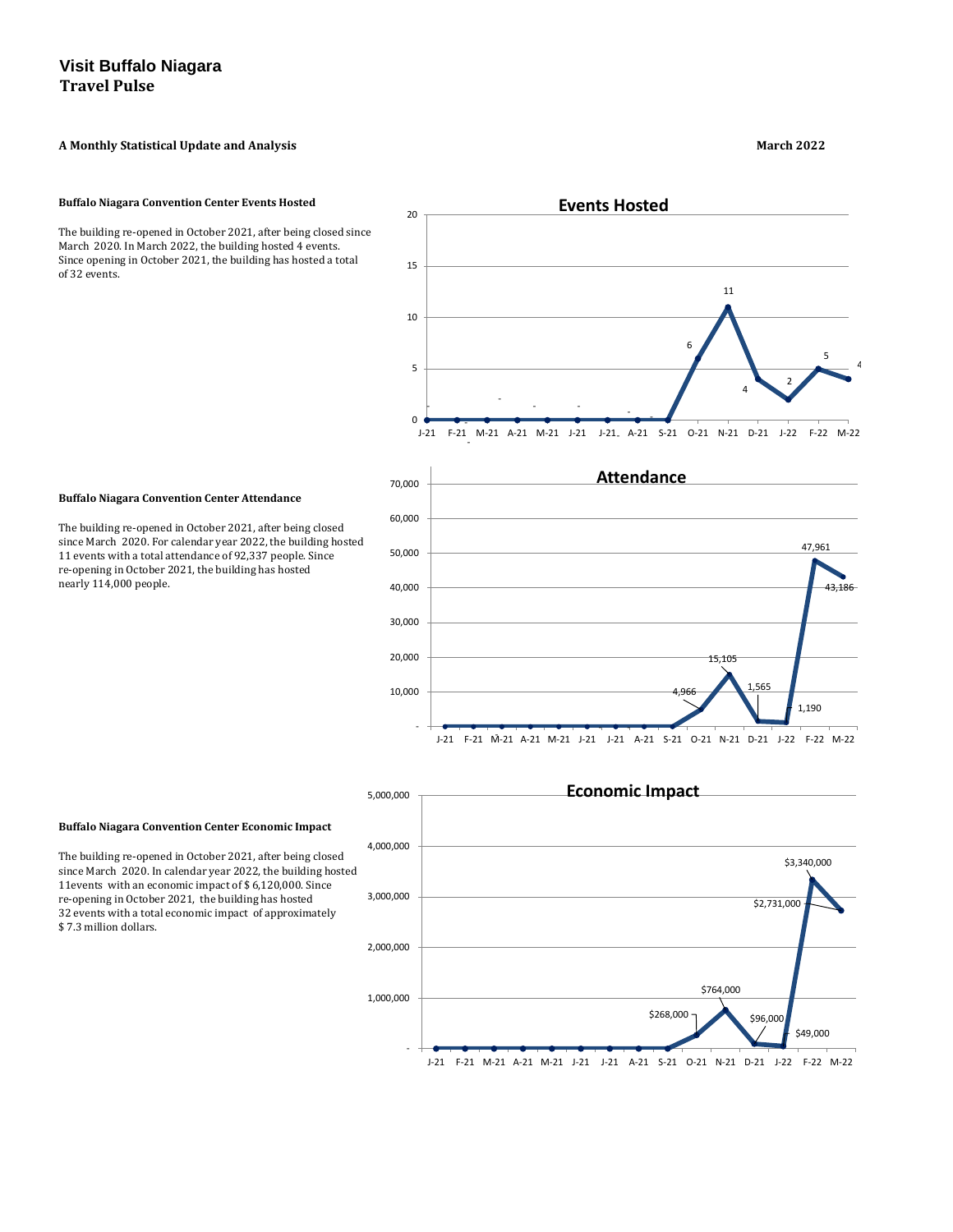# **A Monthly Statistical Update and Analysis March 2022**

#### **Buffalo Niagara Convention Center Events Hosted**

The building re-opened in October 2021, after being closed since March 2020. In March 2022, the building hosted 4 events. Since opening in October 2021, the building has hosted a total of 32 events.

## **Buffalo Niagara Convention Center Attendance**

The building re-opened in October 2021, after being closed since March 2020. For calendar year 2022, the building hosted 11 events with a total attendance of 92,337 people. Since re-opening in October 2021, the building has hosted nearly 114,000 people.

**Buffalo Niagara Convention Center Economic Impact**

The building re-opened in October 2021, after being closed since March 2020. In calendar year 2022, the building hosted 11events with an economic impact of \$ 6,120,000. Since re-opening in October 2021, the building has hosted 32 events with a total economic impact of approximately \$ 7.3 million dollars.



\$3,340,000

\$2,731,000